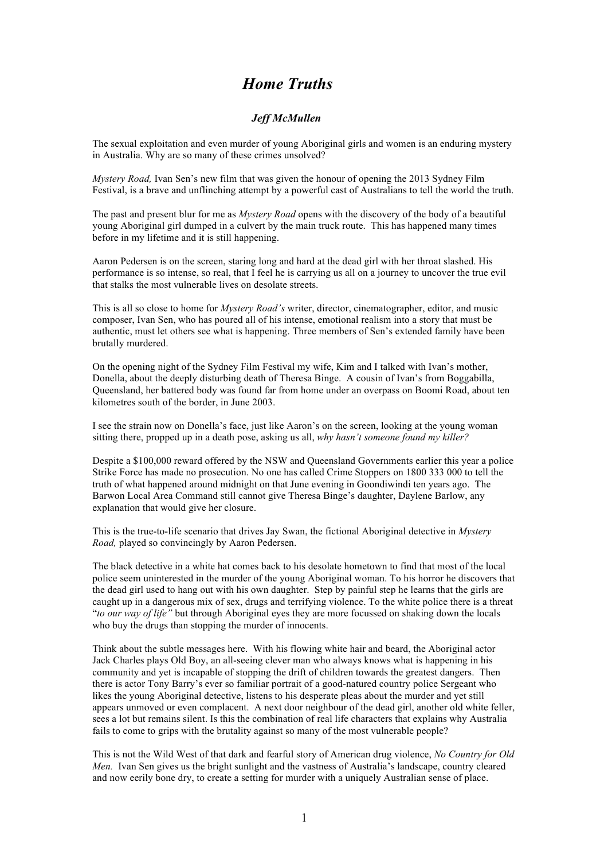## *Home Truths*

## *Jeff McMullen*

The sexual exploitation and even murder of young Aboriginal girls and women is an enduring mystery in Australia. Why are so many of these crimes unsolved?

*Mystery Road,* Ivan Sen's new film that was given the honour of opening the 2013 Sydney Film Festival, is a brave and unflinching attempt by a powerful cast of Australians to tell the world the truth.

The past and present blur for me as *Mystery Road* opens with the discovery of the body of a beautiful young Aboriginal girl dumped in a culvert by the main truck route. This has happened many times before in my lifetime and it is still happening.

Aaron Pedersen is on the screen, staring long and hard at the dead girl with her throat slashed. His performance is so intense, so real, that I feel he is carrying us all on a journey to uncover the true evil that stalks the most vulnerable lives on desolate streets.

This is all so close to home for *Mystery Road's* writer, director, cinematographer, editor, and music composer, Ivan Sen, who has poured all of his intense, emotional realism into a story that must be authentic, must let others see what is happening. Three members of Sen's extended family have been brutally murdered.

On the opening night of the Sydney Film Festival my wife, Kim and I talked with Ivan's mother, Donella, about the deeply disturbing death of Theresa Binge. A cousin of Ivan's from Boggabilla, Queensland, her battered body was found far from home under an overpass on Boomi Road, about ten kilometres south of the border, in June 2003.

I see the strain now on Donella's face, just like Aaron's on the screen, looking at the young woman sitting there, propped up in a death pose, asking us all, *why hasn't someone found my killer?*

Despite a \$100,000 reward offered by the NSW and Queensland Governments earlier this year a police Strike Force has made no prosecution. No one has called Crime Stoppers on 1800 333 000 to tell the truth of what happened around midnight on that June evening in Goondiwindi ten years ago. The Barwon Local Area Command still cannot give Theresa Binge's daughter, Daylene Barlow, any explanation that would give her closure.

This is the true-to-life scenario that drives Jay Swan, the fictional Aboriginal detective in *Mystery Road,* played so convincingly by Aaron Pedersen.

The black detective in a white hat comes back to his desolate hometown to find that most of the local police seem uninterested in the murder of the young Aboriginal woman. To his horror he discovers that the dead girl used to hang out with his own daughter. Step by painful step he learns that the girls are caught up in a dangerous mix of sex, drugs and terrifying violence. To the white police there is a threat "*to our way of life"* but through Aboriginal eyes they are more focussed on shaking down the locals who buy the drugs than stopping the murder of innocents.

Think about the subtle messages here. With his flowing white hair and beard, the Aboriginal actor Jack Charles plays Old Boy, an all-seeing clever man who always knows what is happening in his community and yet is incapable of stopping the drift of children towards the greatest dangers. Then there is actor Tony Barry's ever so familiar portrait of a good-natured country police Sergeant who likes the young Aboriginal detective, listens to his desperate pleas about the murder and yet still appears unmoved or even complacent. A next door neighbour of the dead girl, another old white feller, sees a lot but remains silent. Is this the combination of real life characters that explains why Australia fails to come to grips with the brutality against so many of the most vulnerable people?

This is not the Wild West of that dark and fearful story of American drug violence, *No Country for Old Men.* Ivan Sen gives us the bright sunlight and the vastness of Australia's landscape, country cleared and now eerily bone dry, to create a setting for murder with a uniquely Australian sense of place.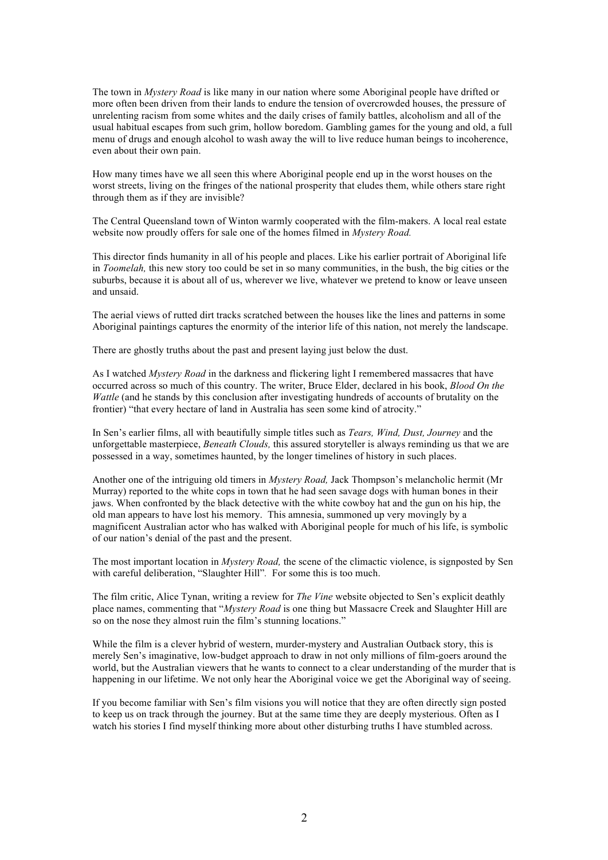The town in *Mystery Road* is like many in our nation where some Aboriginal people have drifted or more often been driven from their lands to endure the tension of overcrowded houses, the pressure of unrelenting racism from some whites and the daily crises of family battles, alcoholism and all of the usual habitual escapes from such grim, hollow boredom. Gambling games for the young and old, a full menu of drugs and enough alcohol to wash away the will to live reduce human beings to incoherence, even about their own pain.

How many times have we all seen this where Aboriginal people end up in the worst houses on the worst streets, living on the fringes of the national prosperity that eludes them, while others stare right through them as if they are invisible?

The Central Queensland town of Winton warmly cooperated with the film-makers. A local real estate website now proudly offers for sale one of the homes filmed in *Mystery Road.*

This director finds humanity in all of his people and places. Like his earlier portrait of Aboriginal life in *Toomelah,* this new story too could be set in so many communities, in the bush, the big cities or the suburbs, because it is about all of us, wherever we live, whatever we pretend to know or leave unseen and unsaid.

The aerial views of rutted dirt tracks scratched between the houses like the lines and patterns in some Aboriginal paintings captures the enormity of the interior life of this nation, not merely the landscape.

There are ghostly truths about the past and present laying just below the dust.

As I watched *Mystery Road* in the darkness and flickering light I remembered massacres that have occurred across so much of this country. The writer, Bruce Elder, declared in his book, *Blood On the Wattle* (and he stands by this conclusion after investigating hundreds of accounts of brutality on the frontier) "that every hectare of land in Australia has seen some kind of atrocity."

In Sen's earlier films, all with beautifully simple titles such as *Tears, Wind, Dust, Journey* and the unforgettable masterpiece, *Beneath Clouds,* this assured storyteller is always reminding us that we are possessed in a way, sometimes haunted, by the longer timelines of history in such places.

Another one of the intriguing old timers in *Mystery Road,* Jack Thompson's melancholic hermit (Mr Murray) reported to the white cops in town that he had seen savage dogs with human bones in their jaws. When confronted by the black detective with the white cowboy hat and the gun on his hip, the old man appears to have lost his memory. This amnesia, summoned up very movingly by a magnificent Australian actor who has walked with Aboriginal people for much of his life, is symbolic of our nation's denial of the past and the present.

The most important location in *Mystery Road,* the scene of the climactic violence, is signposted by Sen with careful deliberation, "Slaughter Hill"*.* For some this is too much.

The film critic, Alice Tynan, writing a review for *The Vine* website objected to Sen's explicit deathly place names, commenting that "*Mystery Road* is one thing but Massacre Creek and Slaughter Hill are so on the nose they almost ruin the film's stunning locations."

While the film is a clever hybrid of western, murder-mystery and Australian Outback story, this is merely Sen's imaginative, low-budget approach to draw in not only millions of film-goers around the world, but the Australian viewers that he wants to connect to a clear understanding of the murder that is happening in our lifetime. We not only hear the Aboriginal voice we get the Aboriginal way of seeing.

If you become familiar with Sen's film visions you will notice that they are often directly sign posted to keep us on track through the journey. But at the same time they are deeply mysterious. Often as I watch his stories I find myself thinking more about other disturbing truths I have stumbled across.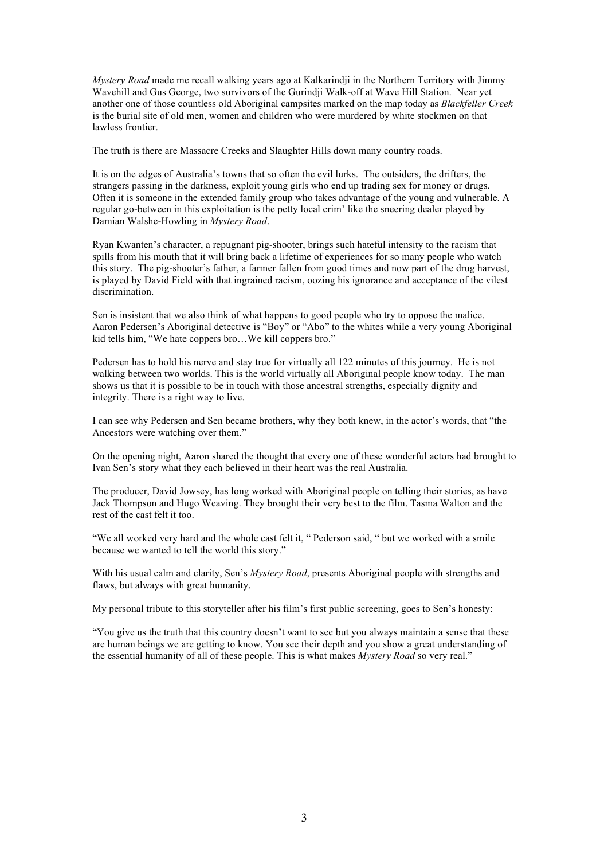*Mystery Road* made me recall walking years ago at Kalkarindji in the Northern Territory with Jimmy Wavehill and Gus George, two survivors of the Gurindii Walk-off at Wave Hill Station. Near yet another one of those countless old Aboriginal campsites marked on the map today as *Blackfeller Creek* is the burial site of old men, women and children who were murdered by white stockmen on that lawless frontier.

The truth is there are Massacre Creeks and Slaughter Hills down many country roads.

It is on the edges of Australia's towns that so often the evil lurks. The outsiders, the drifters, the strangers passing in the darkness, exploit young girls who end up trading sex for money or drugs. Often it is someone in the extended family group who takes advantage of the young and vulnerable. A regular go-between in this exploitation is the petty local crim' like the sneering dealer played by Damian Walshe-Howling in *Mystery Road*.

Ryan Kwanten's character, a repugnant pig-shooter, brings such hateful intensity to the racism that spills from his mouth that it will bring back a lifetime of experiences for so many people who watch this story. The pig-shooter's father, a farmer fallen from good times and now part of the drug harvest, is played by David Field with that ingrained racism, oozing his ignorance and acceptance of the vilest discrimination.

Sen is insistent that we also think of what happens to good people who try to oppose the malice. Aaron Pedersen's Aboriginal detective is "Boy" or "Abo" to the whites while a very young Aboriginal kid tells him, "We hate coppers bro... We kill coppers bro."

Pedersen has to hold his nerve and stay true for virtually all 122 minutes of this journey. He is not walking between two worlds. This is the world virtually all Aboriginal people know today. The man shows us that it is possible to be in touch with those ancestral strengths, especially dignity and integrity. There is a right way to live.

I can see why Pedersen and Sen became brothers, why they both knew, in the actor's words, that "the Ancestors were watching over them."

On the opening night, Aaron shared the thought that every one of these wonderful actors had brought to Ivan Sen's story what they each believed in their heart was the real Australia.

The producer, David Jowsey, has long worked with Aboriginal people on telling their stories, as have Jack Thompson and Hugo Weaving. They brought their very best to the film. Tasma Walton and the rest of the cast felt it too.

"We all worked very hard and the whole cast felt it, " Pederson said, " but we worked with a smile because we wanted to tell the world this story."

With his usual calm and clarity, Sen's *Mystery Road*, presents Aboriginal people with strengths and flaws, but always with great humanity.

My personal tribute to this storyteller after his film's first public screening, goes to Sen's honesty:

"You give us the truth that this country doesn't want to see but you always maintain a sense that these are human beings we are getting to know. You see their depth and you show a great understanding of the essential humanity of all of these people. This is what makes *Mystery Road* so very real."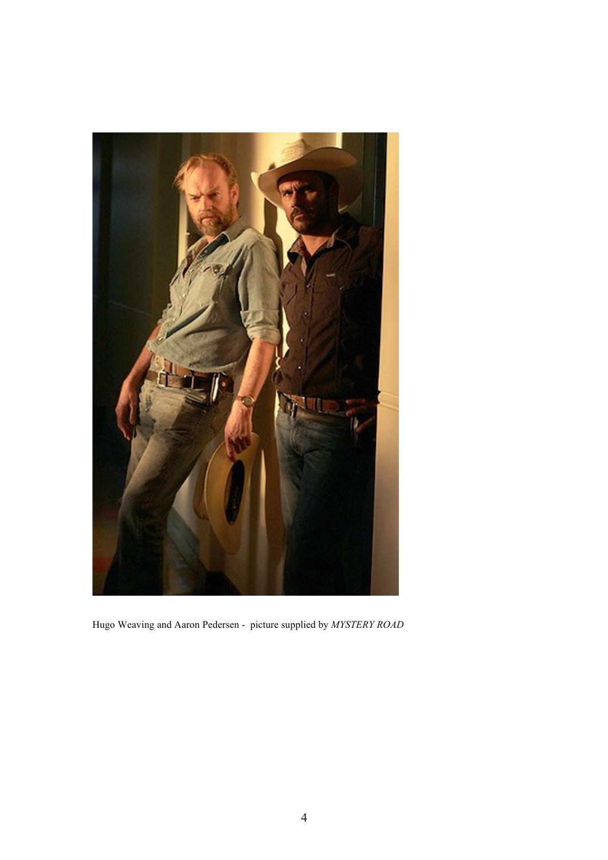

Hugo Weaving and Aaron Pedersen - picture supplied by *MYSTERY ROAD*